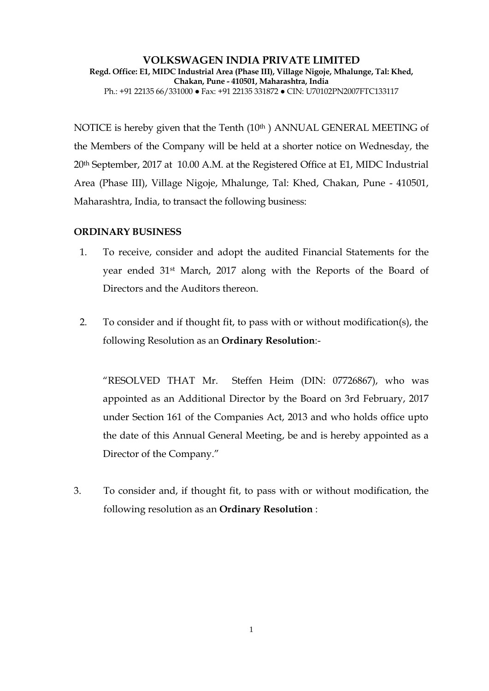**VOLKSWAGEN INDIA PRIVATE LIMITED Regd. Office: E1, MIDC Industrial Area (Phase III), Village Nigoje, Mhalunge, Tal: Khed, Chakan, Pune - 410501, Maharashtra, India**  Ph.: +91 22135 66/331000 ● Fax: +91 22135 331872 ● CIN: U70102PN2007FTC133117

NOTICE is hereby given that the Tenth (10<sup>th</sup>) ANNUAL GENERAL MEETING of the Members of the Company will be held at a shorter notice on Wednesday, the 20th September, 2017 at 10.00 A.M. at the Registered Office at E1, MIDC Industrial Area (Phase III), Village Nigoje, Mhalunge, Tal: Khed, Chakan, Pune - 410501, Maharashtra, India, to transact the following business:

## **ORDINARY BUSINESS**

- 1. To receive, consider and adopt the audited Financial Statements for the year ended 31st March, 2017 along with the Reports of the Board of Directors and the Auditors thereon.
- 2. To consider and if thought fit, to pass with or without modification(s), the following Resolution as an **Ordinary Resolution**:-

"RESOLVED THAT Mr. Steffen Heim (DIN: 07726867), who was appointed as an Additional Director by the Board on 3rd February, 2017 under Section 161 of the Companies Act, 2013 and who holds office upto the date of this Annual General Meeting, be and is hereby appointed as a Director of the Company."

3. To consider and, if thought fit, to pass with or without modification, the following resolution as an **Ordinary Resolution** :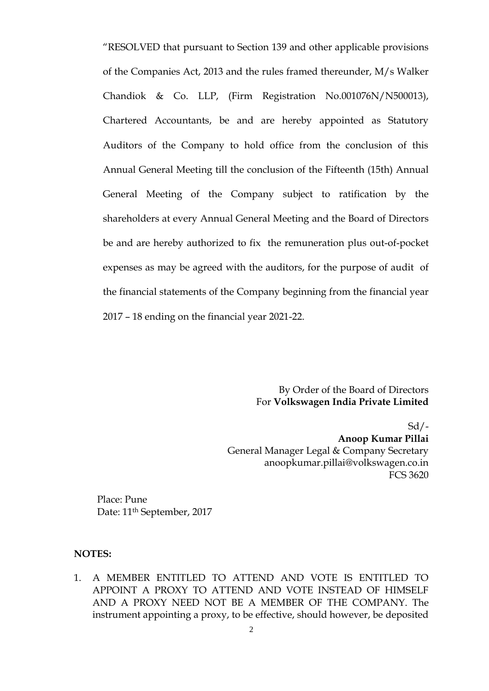"RESOLVED that pursuant to Section 139 and other applicable provisions of the Companies Act, 2013 and the rules framed thereunder, M/s Walker Chandiok & Co. LLP, (Firm Registration No.001076N/N500013), Chartered Accountants, be and are hereby appointed as Statutory Auditors of the Company to hold office from the conclusion of this Annual General Meeting till the conclusion of the Fifteenth (15th) Annual General Meeting of the Company subject to ratification by the shareholders at every Annual General Meeting and the Board of Directors be and are hereby authorized to fix the remuneration plus out-of-pocket expenses as may be agreed with the auditors, for the purpose of audit of the financial statements of the Company beginning from the financial year 2017 – 18 ending on the financial year 2021-22.

> By Order of the Board of Directors For **Volkswagen India Private Limited**

 $Sd/-$ **Anoop Kumar Pillai** General Manager Legal & Company Secretary anoopkumar.pillai@volkswagen.co.in FCS 3620

Place: Pune Date: 11<sup>th</sup> September, 2017

## **NOTES:**

1. A MEMBER ENTITLED TO ATTEND AND VOTE IS ENTITLED TO APPOINT A PROXY TO ATTEND AND VOTE INSTEAD OF HIMSELF AND A PROXY NEED NOT BE A MEMBER OF THE COMPANY. The instrument appointing a proxy, to be effective, should however, be deposited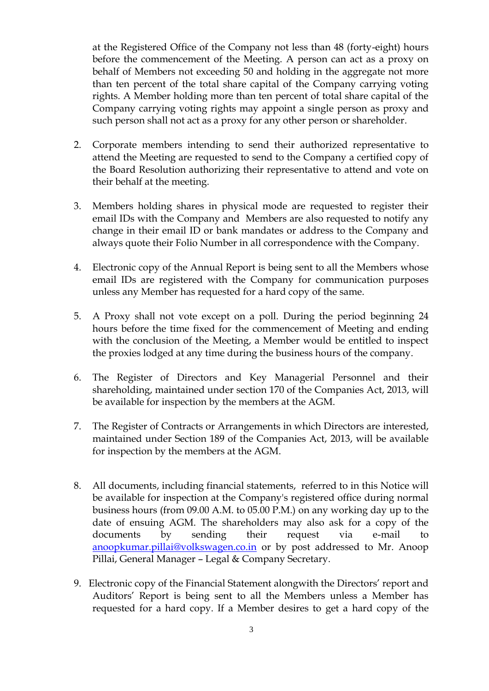at the Registered Office of the Company not less than 48 (forty-eight) hours before the commencement of the Meeting. A person can act as a proxy on behalf of Members not exceeding 50 and holding in the aggregate not more than ten percent of the total share capital of the Company carrying voting rights. A Member holding more than ten percent of total share capital of the Company carrying voting rights may appoint a single person as proxy and such person shall not act as a proxy for any other person or shareholder.

- 2. Corporate members intending to send their authorized representative to attend the Meeting are requested to send to the Company a certified copy of the Board Resolution authorizing their representative to attend and vote on their behalf at the meeting.
- 3. Members holding shares in physical mode are requested to register their email IDs with the Company and Members are also requested to notify any change in their email ID or bank mandates or address to the Company and always quote their Folio Number in all correspondence with the Company.
- 4. Electronic copy of the Annual Report is being sent to all the Members whose email IDs are registered with the Company for communication purposes unless any Member has requested for a hard copy of the same.
- 5. A Proxy shall not vote except on a poll. During the period beginning 24 hours before the time fixed for the commencement of Meeting and ending with the conclusion of the Meeting, a Member would be entitled to inspect the proxies lodged at any time during the business hours of the company.
- 6. The Register of Directors and Key Managerial Personnel and their shareholding, maintained under section 170 of the Companies Act, 2013, will be available for inspection by the members at the AGM.
- 7. The Register of Contracts or Arrangements in which Directors are interested, maintained under Section 189 of the Companies Act, 2013, will be available for inspection by the members at the AGM.
- 8. All documents, including financial statements, referred to in this Notice will be available for inspection at the Company's registered office during normal business hours (from 09.00 A.M. to 05.00 P.M.) on any working day up to the date of ensuing AGM. The shareholders may also ask for a copy of the documents by sending their request via e-mail to [anoopkumar.pillai@volkswagen.co.in](mailto:anoopkumar.pillai@volkswagen.co.in) or by post addressed to Mr. Anoop Pillai, General Manager – Legal & Company Secretary.
- 9. Electronic copy of the Financial Statement alongwith the Directors' report and Auditors' Report is being sent to all the Members unless a Member has requested for a hard copy. If a Member desires to get a hard copy of the